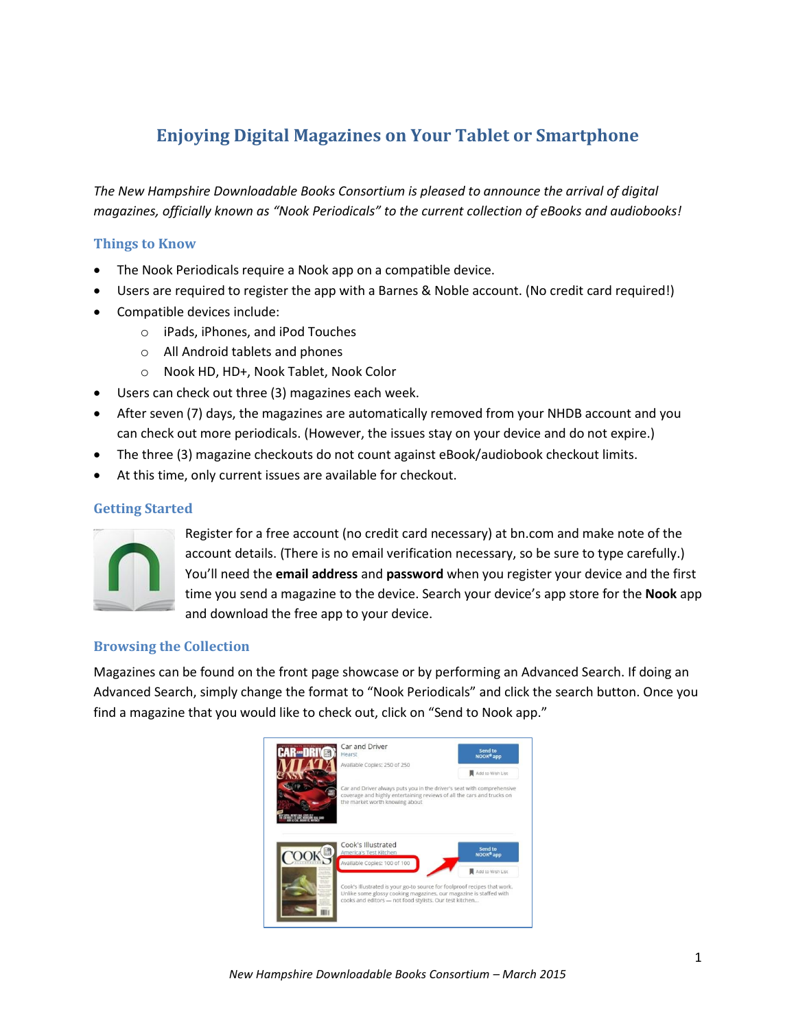# **Enjoying Digital Magazines on Your Tablet or Smartphone**

*The New Hampshire Downloadable Books Consortium is pleased to announce the arrival of digital magazines, officially known as "Nook Periodicals" to the current collection of eBooks and audiobooks!* 

#### **Things to Know**

- The Nook Periodicals require a Nook app on a compatible device.
- Users are required to register the app with a Barnes & Noble account. (No credit card required!)
- Compatible devices include:
	- o iPads, iPhones, and iPod Touches
	- o All Android tablets and phones
	- o Nook HD, HD+, Nook Tablet, Nook Color
- Users can check out three (3) magazines each week.
- After seven (7) days, the magazines are automatically removed from your NHDB account and you can check out more periodicals. (However, the issues stay on your device and do not expire.)
- The three (3) magazine checkouts do not count against eBook/audiobook checkout limits.
- At this time, only current issues are available for checkout.

### **Getting Started**



Register for a free account (no credit card necessary) at bn.com and make note of the account details. (There is no email verification necessary, so be sure to type carefully.) You'll need the **email address** and **password** when you register your device and the first time you send a magazine to the device. Search your device's app store for the **Nook** app and download the free app to your device.

# **Browsing the Collection**

Magazines can be found on the front page showcase or by performing an Advanced Search. If doing an Advanced Search, simply change the format to "Nook Periodicals" and click the search button. Once you find a magazine that you would like to check out, click on "Send to Nook app."

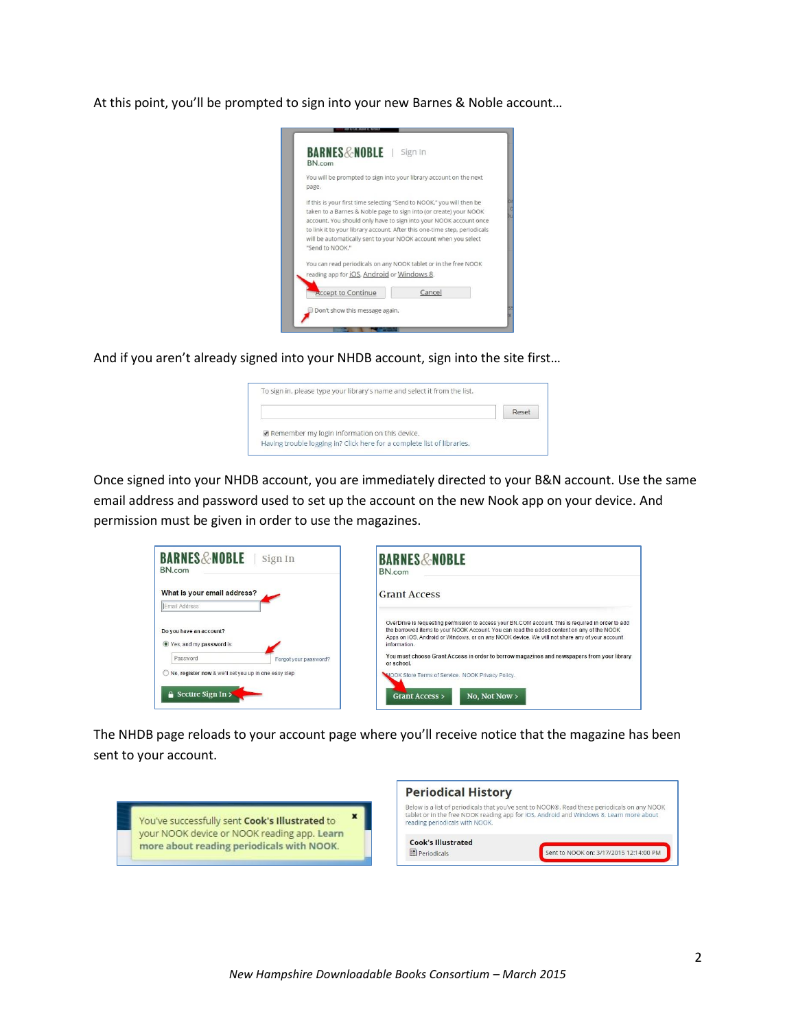At this point, you'll be prompted to sign into your new Barnes & Noble account…



And if you aren't already signed into your NHDB account, sign into the site first…

| Reset |
|-------|
|       |
|       |

Once signed into your NHDB account, you are immediately directed to your B&N account. Use the same email address and password used to set up the account on the new Nook app on your device. And permission must be given in order to use the magazines.

| <b>BARNES&amp;NOBLE</b><br>Sign In<br>BN.com                                               | <b>BARNES&amp;NOBLE</b><br>BN.com                                                                                                                                                                                                                                                                                                                                                                                             |
|--------------------------------------------------------------------------------------------|-------------------------------------------------------------------------------------------------------------------------------------------------------------------------------------------------------------------------------------------------------------------------------------------------------------------------------------------------------------------------------------------------------------------------------|
| What is your email address?<br>Email Address                                               | <b>Grant Access</b>                                                                                                                                                                                                                                                                                                                                                                                                           |
| Do you have an account?<br>● Yes, and my password is:<br>Password<br>Forgot your password? | OverDrive is requesting permission to access your BN.COM account. This is required in order to add<br>the borrowed items to your NOOK Account. You can read the added content on any of the NOOK<br>Apps on iOS, Android or Windows, or on any NOOK device. We will not share any of your account<br>information.<br>You must choose Grant Access in order to borrow magazines and newspapers from your library<br>or school. |
| No, register now & we'll set you up in one easy step<br><b>A</b> Secure Sign In >          | NOOK Store Terms of Service. NOOK Privacy Policy.<br><b>Grant Access</b> ><br>No. Not Now $>$                                                                                                                                                                                                                                                                                                                                 |

The NHDB page reloads to your account page where you'll receive notice that the magazine has been sent to your account.